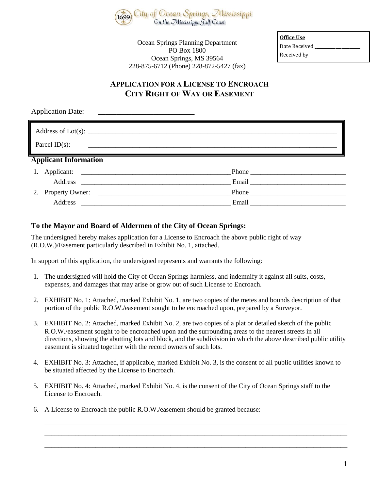

Ocean Springs Planning Department PO Box 1800 Ocean Springs, MS 39564 228-875-6712 (Phone) 228-872-5427 (fax)

| Office Use    |
|---------------|
| Date Received |
| Received by _ |

# **APPLICATION FOR A LICENSE TO ENCROACH CITY RIGHT OF WAY OR EASEMENT**

|    | <b>Application Date:</b>                                                                                                                   |               |  |  |  |  |  |
|----|--------------------------------------------------------------------------------------------------------------------------------------------|---------------|--|--|--|--|--|
|    | Parcel ID $(s)$ :<br><u> 1980 - Johann Johann Stoff, deutscher Stoffen und der Stoffen und der Stoffen und der Stoffen und der Stoffen</u> |               |  |  |  |  |  |
|    | <b>Applicant Information</b>                                                                                                               |               |  |  |  |  |  |
| 1. |                                                                                                                                            | $-$ Phone $-$ |  |  |  |  |  |
|    |                                                                                                                                            | Email         |  |  |  |  |  |
|    |                                                                                                                                            |               |  |  |  |  |  |
|    | Address                                                                                                                                    |               |  |  |  |  |  |

#### **To the Mayor and Board of Aldermen of the City of Ocean Springs:**

The undersigned hereby makes application for a License to Encroach the above public right of way (R.O.W.)/Easement particularly described in Exhibit No. 1, attached.

In support of this application, the undersigned represents and warrants the following:

- 1. The undersigned will hold the City of Ocean Springs harmless, and indemnify it against all suits, costs, expenses, and damages that may arise or grow out of such License to Encroach.
- 2. EXHIBIT No. 1: Attached, marked Exhibit No. 1, are two copies of the metes and bounds description of that portion of the public R.O.W./easement sought to be encroached upon, prepared by a Surveyor.
- 3. EXHIBIT No. 2: Attached, marked Exhibit No. 2, are two copies of a plat or detailed sketch of the public R.O.W./easement sought to be encroached upon and the surrounding areas to the nearest streets in all directions, showing the abutting lots and block, and the subdivision in which the above described public utility easement is situated together with the record owners of such lots.
- 4. EXHIBIT No. 3: Attached, if applicable, marked Exhibit No. 3, is the consent of all public utilities known to be situated affected by the License to Encroach.

\_\_\_\_\_\_\_\_\_\_\_\_\_\_\_\_\_\_\_\_\_\_\_\_\_\_\_\_\_\_\_\_\_\_\_\_\_\_\_\_\_\_\_\_\_\_\_\_\_\_\_\_\_\_\_\_\_\_\_\_\_\_\_\_\_\_\_\_\_\_\_\_\_\_\_\_\_\_\_\_\_\_\_\_\_\_\_\_\_ \_\_\_\_\_\_\_\_\_\_\_\_\_\_\_\_\_\_\_\_\_\_\_\_\_\_\_\_\_\_\_\_\_\_\_\_\_\_\_\_\_\_\_\_\_\_\_\_\_\_\_\_\_\_\_\_\_\_\_\_\_\_\_\_\_\_\_\_\_\_\_\_\_\_\_\_\_\_\_\_\_\_\_\_\_\_\_\_\_ \_\_\_\_\_\_\_\_\_\_\_\_\_\_\_\_\_\_\_\_\_\_\_\_\_\_\_\_\_\_\_\_\_\_\_\_\_\_\_\_\_\_\_\_\_\_\_\_\_\_\_\_\_\_\_\_\_\_\_\_\_\_\_\_\_\_\_\_\_\_\_\_\_\_\_\_\_\_\_\_\_\_\_\_\_\_\_\_\_

- 5. EXHIBIT No. 4: Attached, marked Exhibit No. 4, is the consent of the City of Ocean Springs staff to the License to Encroach.
- 6. A License to Encroach the public R.O.W./easement should be granted because: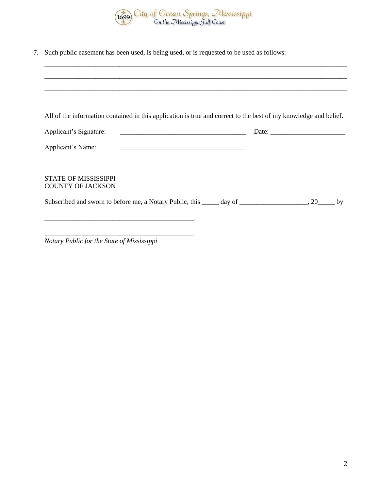

7. Such public easement has been used, is being used, or is requested to be used as follows:

|  | All of the information contained in this application is true and correct to the best of my knowledge and belief.<br>Subscribed and sworn to before me, a Notary Public, this ______ day of ____________________, 20_____ by |
|--|-----------------------------------------------------------------------------------------------------------------------------------------------------------------------------------------------------------------------------|

\_\_\_\_\_\_\_\_\_\_\_\_\_\_\_\_\_\_\_\_\_\_\_\_\_\_\_\_\_\_\_\_\_\_\_\_\_\_\_\_\_\_\_\_\_\_\_\_\_\_\_\_\_\_\_\_\_\_\_\_\_\_\_\_\_\_\_\_\_\_\_\_\_\_\_\_\_\_\_\_\_\_\_\_\_\_\_\_\_

*Notary Public for the State of Mississippi*

\_\_\_\_\_\_\_\_\_\_\_\_\_\_\_\_\_\_\_\_\_\_\_\_\_\_\_\_\_\_\_\_\_\_\_\_\_\_\_\_\_\_\_\_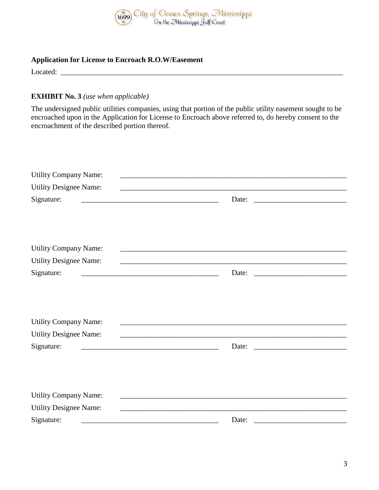

## **Application for License to Encroach R.O.W/Easement**

Located: \_\_\_\_\_\_\_\_\_\_\_\_\_\_\_\_\_\_\_\_\_\_\_\_\_\_\_\_\_\_\_\_\_\_\_\_\_\_\_\_\_\_\_\_\_\_\_\_\_\_\_\_\_\_\_\_\_\_\_\_\_\_\_\_\_\_\_\_\_\_\_\_\_\_\_\_

## **EXHIBIT No. 3** *(use when applicable)*

The undersigned public utilities companies, using that portion of the public utility easement sought to be encroached upon in the Application for License to Encroach above referred to, do hereby consent to the encroachment of the described portion thereof.

| <b>Utility Company Name:</b>                                                                                                      |       |
|-----------------------------------------------------------------------------------------------------------------------------------|-------|
| <b>Utility Designee Name:</b>                                                                                                     |       |
| Signature:                                                                                                                        | Date: |
|                                                                                                                                   |       |
|                                                                                                                                   |       |
| <b>Utility Company Name:</b>                                                                                                      |       |
| <b>Utility Designee Name:</b>                                                                                                     |       |
| Signature:<br><u> 1989 - Johann Barn, mars ann an t-Amhain an t-Amhain an t-Amhain an t-Amhain an t-Amhain an t-Amhain an t-A</u> | Date: |
|                                                                                                                                   |       |
|                                                                                                                                   |       |
|                                                                                                                                   |       |
| <b>Utility Company Name:</b>                                                                                                      |       |
| <b>Utility Designee Name:</b>                                                                                                     |       |
| Signature:                                                                                                                        | Date: |
|                                                                                                                                   |       |
|                                                                                                                                   |       |
|                                                                                                                                   |       |
| <b>Utility Company Name:</b>                                                                                                      |       |
| <b>Utility Designee Name:</b>                                                                                                     |       |
| Signature:                                                                                                                        | Date: |